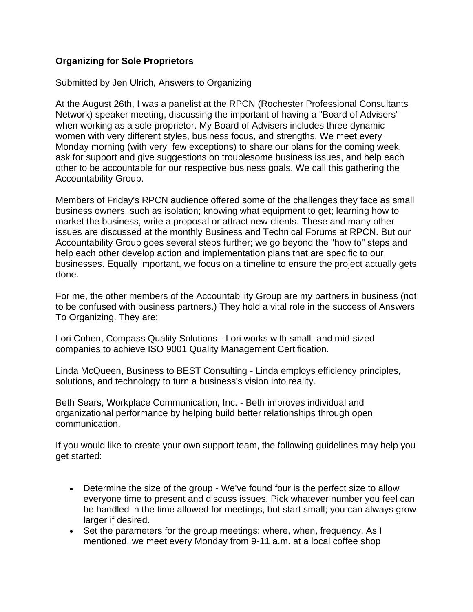## **Organizing for Sole Proprietors**

Submitted by Jen Ulrich, Answers to Organizing

At the August 26th, I was a panelist at the RPCN (Rochester Professional Consultants Network) speaker meeting, discussing the important of having a "Board of Advisers" when working as a sole proprietor. My Board of Advisers includes three dynamic women with very different styles, business focus, and strengths. We meet every Monday morning (with very few exceptions) to share our plans for the coming week, ask for support and give suggestions on troublesome business issues, and help each other to be accountable for our respective business goals. We call this gathering the Accountability Group.

Members of Friday's RPCN audience offered some of the challenges they face as small business owners, such as isolation; knowing what equipment to get; learning how to market the business, write a proposal or attract new clients. These and many other issues are discussed at the monthly Business and Technical Forums at RPCN. But our Accountability Group goes several steps further; we go beyond the "how to" steps and help each other develop action and implementation plans that are specific to our businesses. Equally important, we focus on a timeline to ensure the project actually gets done.

For me, the other members of the Accountability Group are my partners in business (not to be confused with business partners.) They hold a vital role in the success of Answers To Organizing. They are:

Lori Cohen, Compass Quality Solutions - Lori works with small- and mid-sized companies to achieve ISO 9001 Quality Management Certification.

Linda McQueen, Business to BEST Consulting - Linda employs efficiency principles, solutions, and technology to turn a business's vision into reality.

Beth Sears, Workplace Communication, Inc. - Beth improves individual and organizational performance by helping build better relationships through open communication.

If you would like to create your own support team, the following guidelines may help you get started:

- Determine the size of the group We've found four is the perfect size to allow everyone time to present and discuss issues. Pick whatever number you feel can be handled in the time allowed for meetings, but start small; you can always grow larger if desired.
- Set the parameters for the group meetings: where, when, frequency. As I mentioned, we meet every Monday from 9-11 a.m. at a local coffee shop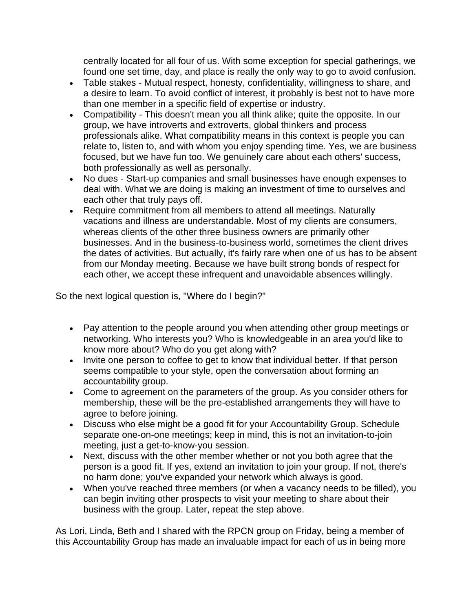centrally located for all four of us. With some exception for special gatherings, we found one set time, day, and place is really the only way to go to avoid confusion.

- Table stakes Mutual respect, honesty, confidentiality, willingness to share, and a desire to learn. To avoid conflict of interest, it probably is best not to have more than one member in a specific field of expertise or industry.
- Compatibility This doesn't mean you all think alike; quite the opposite. In our group, we have introverts and extroverts, global thinkers and process professionals alike. What compatibility means in this context is people you can relate to, listen to, and with whom you enjoy spending time. Yes, we are business focused, but we have fun too. We genuinely care about each others' success, both professionally as well as personally.
- No dues Start-up companies and small businesses have enough expenses to deal with. What we are doing is making an investment of time to ourselves and each other that truly pays off.
- Require commitment from all members to attend all meetings. Naturally vacations and illness are understandable. Most of my clients are consumers, whereas clients of the other three business owners are primarily other businesses. And in the business-to-business world, sometimes the client drives the dates of activities. But actually, it's fairly rare when one of us has to be absent from our Monday meeting. Because we have built strong bonds of respect for each other, we accept these infrequent and unavoidable absences willingly.

So the next logical question is, "Where do I begin?"

- Pay attention to the people around you when attending other group meetings or networking. Who interests you? Who is knowledgeable in an area you'd like to know more about? Who do you get along with?
- Invite one person to coffee to get to know that individual better. If that person seems compatible to your style, open the conversation about forming an accountability group.
- Come to agreement on the parameters of the group. As you consider others for membership, these will be the pre-established arrangements they will have to agree to before joining.
- Discuss who else might be a good fit for your Accountability Group. Schedule separate one-on-one meetings; keep in mind, this is not an invitation-to-join meeting, just a get-to-know-you session.
- Next, discuss with the other member whether or not you both agree that the person is a good fit. If yes, extend an invitation to join your group. If not, there's no harm done; you've expanded your network which always is good.
- When you've reached three members (or when a vacancy needs to be filled), you can begin inviting other prospects to visit your meeting to share about their business with the group. Later, repeat the step above.

As Lori, Linda, Beth and I shared with the RPCN group on Friday, being a member of this Accountability Group has made an invaluable impact for each of us in being more